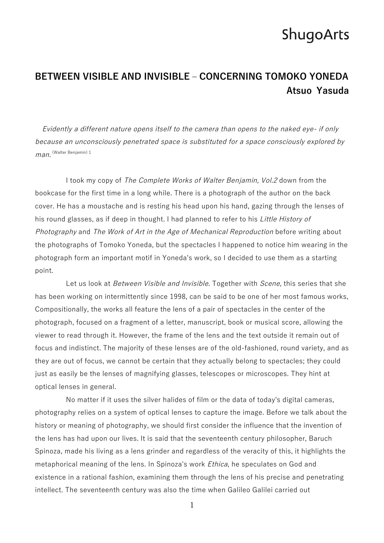#### **BETWEEN VISIBLE AND INVISIBLE ‒ CONCERNING TOMOKO YONEDA Atsuo Yasuda**

Evidently a different nature opens itself to the camera than opens to the naked eye- if only because an unconsciously penetrated space is substituted for a space consciously explored by man. <sup>(Walter Benjamin) 1</sup>

I took my copy of The Complete Works of Walter Benjamin, Vol.2 down from the bookcase for the first time in a long while. There is a photograph of the author on the back cover. He has a moustache and is resting his head upon his hand, gazing through the lenses of his round glasses, as if deep in thought. I had planned to refer to his *Little History of* Photography and The Work of Art in the Age of Mechanical Reproduction before writing about the photographs of Tomoko Yoneda, but the spectacles I happened to notice him wearing in the photograph form an important motif in Yoneda's work, so I decided to use them as a starting point.

Let us look at *Between Visible and Invisible*. Together with *Scene*, this series that she has been working on intermittently since 1998, can be said to be one of her most famous works, Compositionally, the works all feature the lens of a pair of spectacles in the center of the photograph, focused on a fragment of a letter, manuscript, book or musical score, allowing the viewer to read through it. However, the frame of the lens and the text outside it remain out of focus and indistinct. The majority of these lenses are of the old-fashioned, round variety, and as they are out of focus, we cannot be certain that they actually belong to spectacles; they could just as easily be the lenses of magnifying glasses, telescopes or microscopes. They hint at optical lenses in general.

No matter if it uses the silver halides of film or the data of today's digital cameras, photography relies on a system of optical lenses to capture the image. Before we talk about the history or meaning of photography, we should first consider the influence that the invention of the lens has had upon our lives. It is said that the seventeenth century philosopher, Baruch Spinoza, made his living as a lens grinder and regardless of the veracity of this, it highlights the metaphorical meaning of the lens. In Spinoza's work *Ethica*, he speculates on God and existence in a rational fashion, examining them through the lens of his precise and penetrating intellect. The seventeenth century was also the time when Galileo Galilei carried out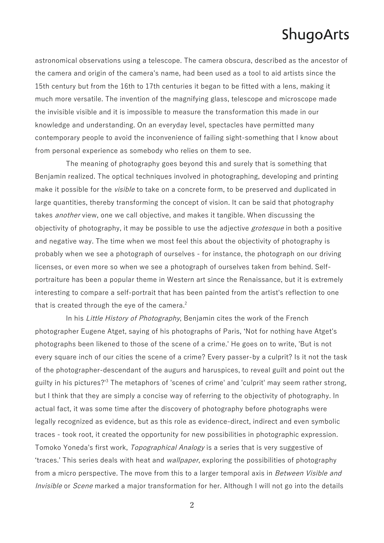astronomical observations using a telescope. The camera obscura, described as the ancestor of the camera and origin of the camera's name, had been used as a tool to aid artists since the 15th century but from the 16th to 17th centuries it began to be fitted with a lens, making it much more versatile. The invention of the magnifying glass, telescope and microscope made the invisible visible and it is impossible to measure the transformation this made in our knowledge and understanding. On an everyday level, spectacles have permitted many contemporary people to avoid the inconvenience of failing sight-something that I know about from personal experience as somebody who relies on them to see.

The meaning of photography goes beyond this and surely that is something that Benjamin realized. The optical techniques involved in photographing, developing and printing make it possible for the *visible* to take on a concrete form, to be preserved and duplicated in large quantities, thereby transforming the concept of vision. It can be said that photography takes *another* view, one we call objective, and makes it tangible. When discussing the objectivity of photography, it may be possible to use the adjective *grotesque* in both a positive and negative way. The time when we most feel this about the objectivity of photography is probably when we see a photograph of ourselves - for instance, the photograph on our driving licenses, or even more so when we see a photograph of ourselves taken from behind. Selfportraiture has been a popular theme in Western art since the Renaissance, but it is extremely interesting to compare a self-portrait that has been painted from the artist's reflection to one that is created through the eye of the camera.<sup>2</sup>

In his Little History of Photography, Benjamin cites the work of the French photographer Eugene Atget, saying of his photographs of Paris, ʻNot for nothing have Atget's photographs been likened to those of the scene of a crime.' He goes on to write, 'But is not every square inch of our cities the scene of a crime? Every passer-by a culprit? Is it not the task of the photographer-descendant of the augurs and haruspices, to reveal guilt and point out the guilty in his pictures?<sup>3</sup> The metaphors of 'scenes of crime' and 'culprit' may seem rather strong, but I think that they are simply a concise way of referring to the objectivity of photography. In actual fact, it was some time after the discovery of photography before photographs were legally recognized as evidence, but as this role as evidence-direct, indirect and even symbolic traces - took root, it created the opportunity for new possibilities in photographic expression. Tomoko Yoneda's first work, Topographical Analogy is a series that is very suggestive of ʻtraces.' This series deals with heat and wallpaper, exploring the possibilities of photography from a micro perspective. The move from this to a larger temporal axis in *Between Visible and* Invisible or Scene marked a major transformation for her. Although I will not go into the details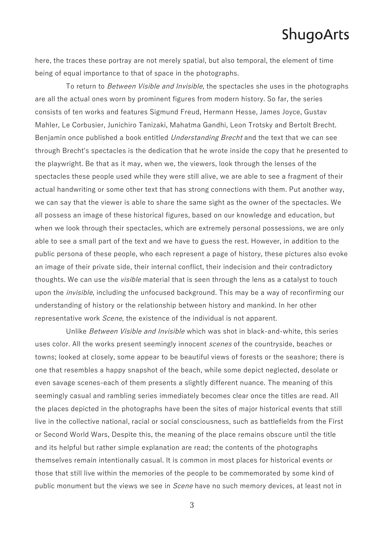here, the traces these portray are not merely spatial, but also temporal, the element of time being of equal importance to that of space in the photographs.

To return to Between Visible and Invisible, the spectacles she uses in the photographs are all the actual ones worn by prominent figures from modern history. So far, the series consists of ten works and features Sigmund Freud, Hermann Hesse, James Joyce, Gustav Mahler, Le Corbusier, Junichiro Tanizaki, Mahatma Gandhi, Leon Trotsky and Bertolt Brecht. Benjamin once published a book entitled *Understanding Brecht* and the text that we can see through Brecht's spectacles is the dedication that he wrote inside the copy that he presented to the playwright. Be that as it may, when we, the viewers, look through the lenses of the spectacles these people used while they were still alive, we are able to see a fragment of their actual handwriting or some other text that has strong connections with them. Put another way, we can say that the viewer is able to share the same sight as the owner of the spectacles. We all possess an image of these historical figures, based on our knowledge and education, but when we look through their spectacles, which are extremely personal possessions, we are only able to see a small part of the text and we have to guess the rest. However, in addition to the public persona of these people, who each represent a page of history, these pictures also evoke an image of their private side, their internal conflict, their indecision and their contradictory thoughts. We can use the *visible* material that is seen through the lens as a catalyst to touch upon the *invisible*, including the unfocused background. This may be a way of reconfirming our understanding of history or the relationship between history and mankind. In her other representative work Scene, the existence of the individual is not apparent.

Unlike Between Visible and Invisible which was shot in black-and-white, this series uses color. All the works present seemingly innocent scenes of the countryside, beaches or towns; looked at closely, some appear to be beautiful views of forests or the seashore; there is one that resembles a happy snapshot of the beach, while some depict neglected, desolate or even savage scenes-each of them presents a slightly different nuance. The meaning of this seemingly casual and rambling series immediately becomes clear once the titles are read. All the places depicted in the photographs have been the sites of major historical events that still live in the collective national, racial or social consciousness, such as battlefields from the First or Second World Wars, Despite this, the meaning of the place remains obscure until the title and its helpful but rather simple explanation are read; the contents of the photographs themselves remain intentionally casual. It is common in most places for historical events or those that still live within the memories of the people to be commemorated by some kind of public monument but the views we see in Scene have no such memory devices, at least not in